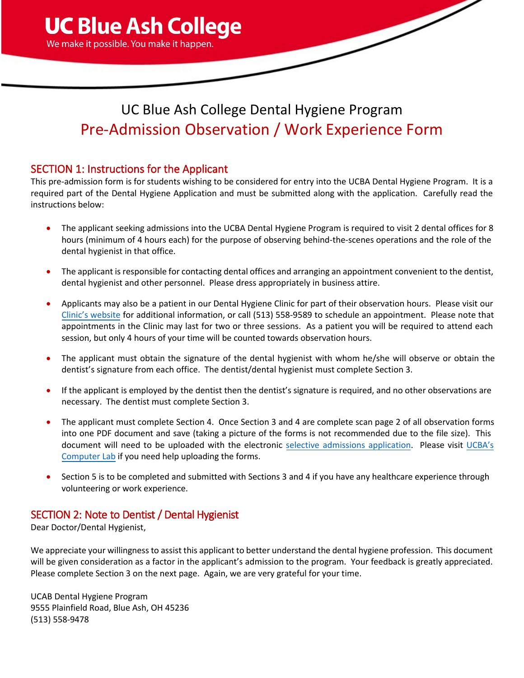

# UC Blue Ash College Dental Hygiene Program Pre-Admission Observation / Work Experience Form

### SECTION 1: Instructions for the Applicant

This pre-admission form is for students wishing to be considered for entry into the UCBA Dental Hygiene Program. It is a required part of the Dental Hygiene Application and must be submitted along with the application. Carefully read the instructions below:

- The applicant seeking admissions into the UCBA Dental Hygiene Program is required to visit 2 dental offices for 8 hours (minimum of 4 hours each) for the purpose of observing behind-the-scenes operations and the role of the dental hygienist in that office.
- The applicant is responsible for contacting dental offices and arranging an appointment convenient to the dentist, dental hygienist and other personnel. Please dress appropriately in business attire.
- Applicants may also be a patient in our Dental Hygiene Clinic for part of their observation hours. Please visit our [Clinic's website](https://ucblueash.edu/about/community/clinic.html) for additional information, or call (513) 558-9589 to schedule an appointment. Please note that appointments in the Clinic may last for two or three sessions. As a patient you will be required to attend each session, but only 4 hours of your time will be counted towards observation hours.
- The applicant must obtain the signature of the dental hygienist with whom he/she will observe or obtain the dentist's signature from each office. The dentist/dental hygienist must complete Section 3.
- If the applicant is employed by the dentist then the dentist's signature is required, and no other observations are necessary. The dentist must complete Section 3.
- The applicant must complete Section 4. Once Section 3 and 4 are complete scan page 2 of all observation forms into one PDF document and save (taking a picture of the forms is not recommended due to the file size). This document will need to be uploaded with the electronic selective [admissions application.](https://ucblueash.edu/admissions/selective.html) Please visit [UCBA's](http://www.ucblueash.edu/resources/technology/labs.html) [Computer Lab](http://www.ucblueash.edu/resources/technology/labs.html) if you need help uploading the forms.
- Section 5 is to be completed and submitted with Sections 3 and 4 if you have any healthcare experience through volunteering or work experience.

### SECTION 2: Note to Dentist / Dental Hygienist

Dear Doctor/Dental Hygienist,

We appreciate your willingness to assist this applicant to better understand the dental hygiene profession. This document will be given consideration as a factor in the applicant's admission to the program. Your feedback is greatly appreciated. Please complete Section 3 on the next page. Again, we are very grateful for your time.

UCAB Dental Hygiene Program 9555 Plainfield Road, Blue Ash, OH 45236 (513) 558-9478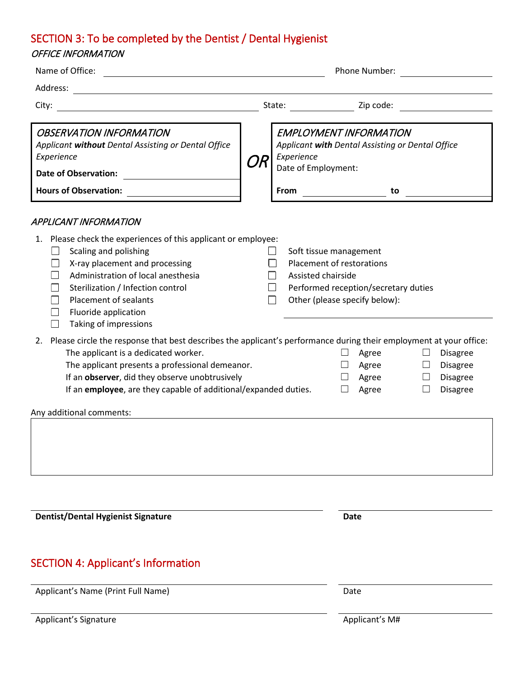### SECTION 3: To be completed by the Dentist / Dental Hygienist

#### OFFICE INFORMATION

| Name of Office:                                                                                                                                                                                                                                                                                                                                                                                                                                                                                    |  |                                                                                                                                                    | Phone Number: |    |  |
|----------------------------------------------------------------------------------------------------------------------------------------------------------------------------------------------------------------------------------------------------------------------------------------------------------------------------------------------------------------------------------------------------------------------------------------------------------------------------------------------------|--|----------------------------------------------------------------------------------------------------------------------------------------------------|---------------|----|--|
| Address:<br><u> 1989 - Andrea Andrew Maria (h. 1989).</u>                                                                                                                                                                                                                                                                                                                                                                                                                                          |  |                                                                                                                                                    |               |    |  |
| City:                                                                                                                                                                                                                                                                                                                                                                                                                                                                                              |  | State:                                                                                                                                             | Zip code:     |    |  |
| <b>OBSERVATION INFORMATION</b><br>Applicant without Dental Assisting or Dental Office<br>Experience<br><b>Date of Observation:</b><br><b>Hours of Observation:</b>                                                                                                                                                                                                                                                                                                                                 |  | <b>EMPLOYMENT INFORMATION</b><br>Applicant with Dental Assisting or Dental Office<br>Experience<br>Date of Employment:<br><b>From</b>              |               | to |  |
| APPLICANT INFORMATION                                                                                                                                                                                                                                                                                                                                                                                                                                                                              |  |                                                                                                                                                    |               |    |  |
| 1. Please check the experiences of this applicant or employee:<br>Scaling and polishing<br>$\Box$<br>X-ray placement and processing<br>$\Box$<br>Administration of local anesthesia<br>Sterilization / Infection control<br>Placement of sealants<br>Fluoride application<br>Taking of impressions                                                                                                                                                                                                 |  | Soft tissue management<br>Placement of restorations<br>Assisted chairside<br>Performed reception/secretary duties<br>Other (please specify below): |               |    |  |
| Please circle the response that best describes the applicant's performance during their employment at your office:<br>2.<br>The applicant is a dedicated worker.<br>Agree<br><b>Disagree</b><br>The applicant presents a professional demeanor.<br>Agree<br><b>Disagree</b><br>⊔<br>If an observer, did they observe unobtrusively<br>Agree<br>$\Box$<br><b>Disagree</b><br>If an employee, are they capable of additional/expanded duties.<br><b>Disagree</b><br>Agree<br>$\perp$<br>$\mathsf{L}$ |  |                                                                                                                                                    |               |    |  |
| Any additional comments:                                                                                                                                                                                                                                                                                                                                                                                                                                                                           |  |                                                                                                                                                    |               |    |  |
|                                                                                                                                                                                                                                                                                                                                                                                                                                                                                                    |  |                                                                                                                                                    |               |    |  |
| <b>Dentist/Dental Hygienist Signature</b>                                                                                                                                                                                                                                                                                                                                                                                                                                                          |  |                                                                                                                                                    | <b>Date</b>   |    |  |
|                                                                                                                                                                                                                                                                                                                                                                                                                                                                                                    |  |                                                                                                                                                    |               |    |  |

# SECTION 4: Applicant's Information

Applicant's Name (Print Full Name) Date

Applicant's Signature Applicant's M#